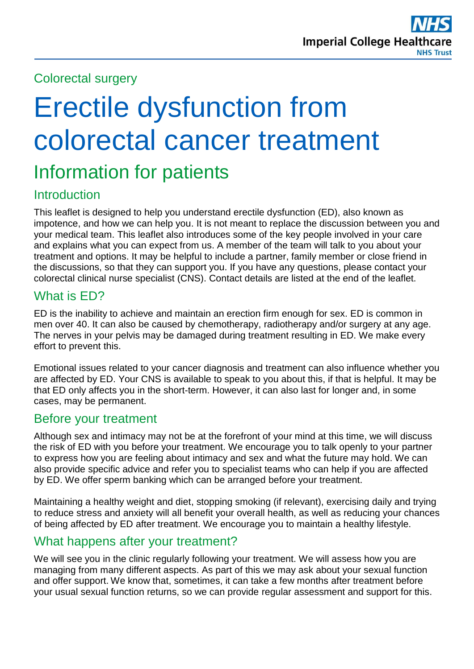### Colorectal surgery

# Erectile dysfunction from colorectal cancer treatment

# Information for patients

# Introduction

This leaflet is designed to help you understand erectile dysfunction (ED), also known as impotence, and how we can help you. It is not meant to replace the discussion between you and your medical team. This leaflet also introduces some of the key people involved in your care and explains what you can expect from us. A member of the team will talk to you about your treatment and options. It may be helpful to include a partner, family member or close friend in the discussions, so that they can support you. If you have any questions, please contact your colorectal clinical nurse specialist (CNS). Contact details are listed at the end of the leaflet.

# What is ED?

ED is the inability to achieve and maintain an erection firm enough for sex. ED is common in men over 40. It can also be caused by chemotherapy, radiotherapy and/or surgery at any age. The nerves in your pelvis may be damaged during treatment resulting in ED. We make every effort to prevent this.

Emotional issues related to your cancer diagnosis and treatment can also influence whether you are affected by ED. Your CNS is available to speak to you about this, if that is helpful. It may be that ED only affects you in the short-term. However, it can also last for longer and, in some cases, may be permanent.

#### Before your treatment

Although sex and intimacy may not be at the forefront of your mind at this time, we will discuss the risk of ED with you before your treatment. We encourage you to talk openly to your partner to express how you are feeling about intimacy and sex and what the future may hold. We can also provide specific advice and refer you to specialist teams who can help if you are affected by ED. We offer sperm banking which can be arranged before your treatment.

Maintaining a healthy weight and diet, stopping smoking (if relevant), exercising daily and trying to reduce stress and anxiety will all benefit your overall health, as well as reducing your chances of being affected by ED after treatment. We encourage you to maintain a healthy lifestyle.

#### What happens after your treatment?

We will see you in the clinic regularly following your treatment. We will assess how you are managing from many different aspects. As part of this we may ask about your sexual function and offer support. We know that, sometimes, it can take a few months after treatment before your usual sexual function returns, so we can provide regular assessment and support for this.